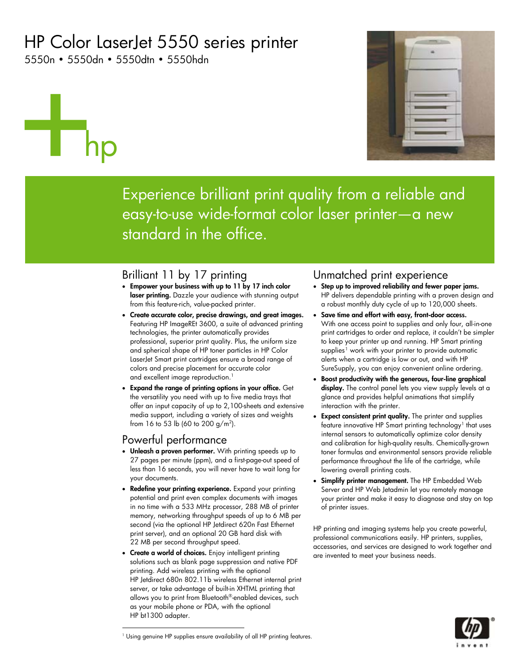# HP Color LaserJet 5550 series printer

5550n • 5550dn • 5550dtn • 5550hdn

# hp



Experience brilliant print quality from a reliable and easy-to-use wide-format color laser printer—a new standard in the office.

## Brilliant 11 by 17 printing

- **Empower your business with up to 11 by 17 inch color laser printing.** Dazzle your audience with stunning output from this feature-rich, value-packed printer.
- **Create accurate color, precise drawings, and great images.**  Featuring HP ImageREt 3600, a suite of advanced printing technologies, the printer automatically provides professional, superior print quality. Plus, the uniform size and spherical shape of HP toner particles in HP Color LaserJet Smart print cartridges ensure a broad range of colors and precise placement for accurate color and excellent image reproduction.<sup>1</sup>
- **Expand the range of printing options in your office.** Get the versatility you need with up to five media trays that offer an input capacity of up to 2,100-sheets and extensive media support, including a variety of sizes and weights from 16 to 53 lb (60 to 200  $g/m^2$ ).

## Powerful performance

-

- **Unleash a proven performer.** With printing speeds up to 27 pages per minute (ppm), and a first-page-out speed of less than 16 seconds, you will never have to wait long for your documents.
- **Redefine your printing experience.** Expand your printing potential and print even complex documents with images in no time with a 533 MHz processor, 288 MB of printer memory, networking throughput speeds of up to 6 MB per second (via the optional HP Jetdirect 620n Fast Ethernet print server), and an optional 20 GB hard disk with 22 MB per second throughput speed.
- **Create a world of choices.** Enjoy intelligent printing solutions such as blank page suppression and native PDF printing. Add wireless printing with the optional HP Jetdirect 680n 802.11b wireless Ethernet internal print server, or take advantage of built-in XHTML printing that allows you to print from Bluetooth®-enabled devices, such as your mobile phone or PDA, with the optional HP bt1300 adapter.

### Unmatched print experience

- **Step up to improved reliability and fewer paper jams.** HP delivers dependable printing with a proven design and a robust monthly duty cycle of up to 120,000 sheets.
- **Save time and effort with easy, front-door access.**  With one access point to supplies and only four, all-in-one print cartridges to order and replace, it couldn't be simpler to keep your printer up and running. HP Smart printing supplies<sup>1</sup> work with your printer to provide automatic alerts when a cartridge is low or out, and with HP SureSupply, you can enjoy convenient online ordering.
- **Boost productivity with the generous, four-line graphical**  display. The control panel lets you view supply levels at a glance and provides helpful animations that simplify interaction with the printer.
- **Expect consistent print quality.** The printer and supplies feature innovative HP Smart printing technology<sup>1</sup> that uses internal sensors to automatically optimize color density and calibration for high-quality results. Chemically-grown toner formulas and environmental sensors provide reliable performance throughout the life of the cartridge, while lowering overall printing costs.
- **Simplify printer management.** The HP Embedded Web Server and HP Web Jetadmin let you remotely manage your printer and make it easy to diagnose and stay on top of printer issues.

HP printing and imaging systems help you create powerful, professional communications easily. HP printers, supplies, accessories, and services are designed to work together and are invented to meet your business needs.



<span id="page-0-0"></span><sup>&</sup>lt;sup>1</sup> Using genuine HP supplies ensure availability of all HP printing features.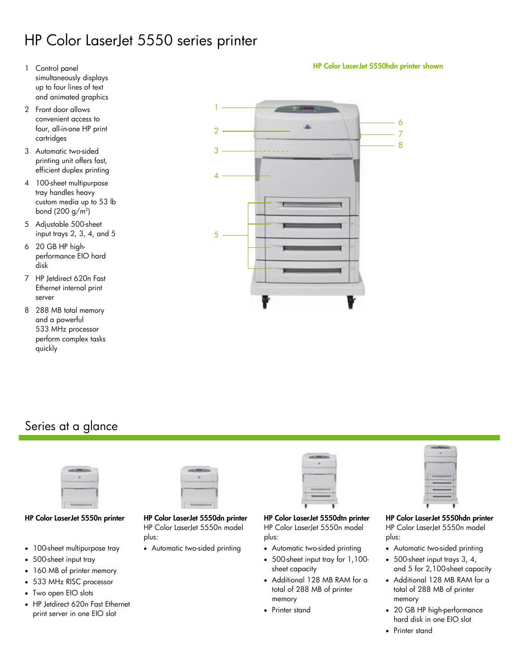## HP Color LaserJet 5550 series printer

- 1 Control panel simultaneously displays up to four lines of text and animated graphics
- 2 Front door allows convenient access to four, all-in-one HP print cartridges
- 3 Automatic two-sided printing unit offers fast, efficient duplex printing
- 4 100-sheet multipurpose tray handles heavy custom media up to 53 lb bond (200 g/m<sup>2</sup>)
- 5 Adjustable 500-sheet input trays 2, 3, 4, and 5
- 6 20 GB HP highperformance EIO hard disk
- 7 HP Jetdirect 620n Fast Ethernet internal print server
- 8 288 MB total memory and a powerful 533 MHz processor perform complex tasks quickly



## Series at a glance



- 100-sheet multipurpose tray
- 500-sheet input tray
- 160 MB of printer memory
- 533 MHz RISC processor
- Two open EIO slots
- HP Jetdirect 620n Fast Ethernet print server in one EIO slot



HP Color LaserJet 5550n model plus:

• Automatic two-sided printing

| T |  |  |
|---|--|--|
| ٠ |  |  |
| I |  |  |
|   |  |  |
|   |  |  |

**HP Color LaserJet 5550n printer HP Color LaserJet 5550dn printer HP Color LaserJet 5550dtn printer HP Color LaserJet 5550hdn printer**  HP Color LaserJet 5550n model plus:

- Automatic two-sided printing
- 500-sheet input tray for 1,100 sheet capacity
- Additional 128 MB RAM for a total of 288 MB of printer memory
- Printer stand



HP Color LaserJet 5550n model plus:

- Automatic two-sided printing
- 500-sheet input trays 3, 4, and 5 for 2,100-sheet capacity
- Additional 128 MB RAM for a total of 288 MB of printer memory
- 20 GB HP high-performance hard disk in one EIO slot
- Printer stand

**HP Color LaserJet 5550hdn printer shown**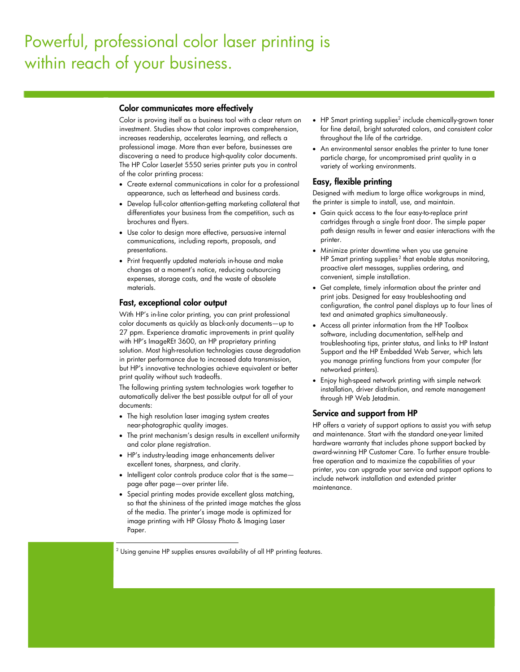# Powerful, professional color laser printing is within reach of your business.

#### **Color communicates more effectively**

Color is proving itself as a business tool with a clear return on investment. Studies show that color improves comprehension, increases readership, accelerates learning, and reflects a professional image. More than ever before, businesses are discovering a need to produce high-quality color documents. The HP Color LaserJet 5550 series printer puts you in control of the color printing process:

- Create external communications in color for a professional appearance, such as letterhead and business cards.
- Develop full-color attention-getting marketing collateral that differentiates your business from the competition, such as brochures and flyers.
- Use color to design more effective, persuasive internal communications, including reports, proposals, and presentations.
- Print frequently updated materials in-house and make changes at a moment's notice, reducing outsourcing expenses, storage costs, and the waste of obsolete materials.

#### **Fast, exceptional color output**

With HP's in-line color printing, you can print professional color documents as quickly as black-only documents—up to 27 ppm. Experience dramatic improvements in print quality with HP's ImageREt 3600, an HP proprietary printing solution. Most high-resolution technologies cause degradation in printer performance due to increased data transmission, but HP's innovative technologies achieve equivalent or better print quality without such tradeoffs.

The following printing system technologies work together to automatically deliver the best possible output for all of your documents:

- The high resolution laser imaging system creates near-photographic quality images.
- The print mechanism's design results in excellent uniformity and color plane registration.
- HP's industry-leading image enhancements deliver excellent tones, sharpness, and clarity.

-

- Intelligent color controls produce color that is the same page after page—over printer life.
- Special printing modes provide excellent gloss matching, so that the shininess of the printed image matches the gloss of the media. The printer's image mode is optimized for image printing with HP Glossy Photo & Imaging Laser Paper.

<span id="page-2-0"></span>2 Using genuine HP supplies ensures availability of all HP printing features.

- HP Smart printing supplies<sup>2</sup> include chemically-grown toner for fine detail, bright saturated colors, and consistent color throughout the life of the cartridge.
- An environmental sensor enables the printer to tune toner particle charge, for uncompromised print quality in a variety of working environments.

#### **Easy, flexible printing**

Designed with medium to large office workgroups in mind, the printer is simple to install, use, and maintain.

- Gain quick access to the four easy-to-replace print cartridges through a single front door. The simple paper path design results in fewer and easier interactions with the printer.
- Minimize printer downtime when you use genuine HP Smart printing supplies<sup>2</sup> that enable status monitoring, proactive alert messages, supplies ordering, and convenient, simple installation.
- Get complete, timely information about the printer and print jobs. Designed for easy troubleshooting and configuration, the control panel displays up to four lines of text and animated graphics simultaneously.
- Access all printer information from the HP Toolbox software, including documentation, self-help and troubleshooting tips, printer status, and links to HP Instant Support and the HP Embedded Web Server, which lets you manage printing functions from your computer (for networked printers).
- Enjoy high-speed network printing with simple network installation, driver distribution, and remote management through HP Web Jetadmin.

#### **Service and support from HP**

HP offers a variety of support options to assist you with setup and maintenance. Start with the standard one-year limited hardware warranty that includes phone support backed by award-winning HP Customer Care. To further ensure troublefree operation and to maximize the capabilities of your printer, you can upgrade your service and support options to include network installation and extended printer maintenance.